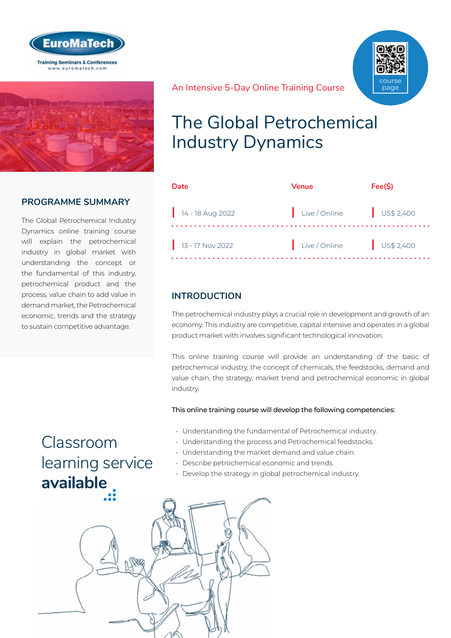



## **PROGRAMME SUMMARY**

The Global Petrochemical Industry Dynamics online training course will explain the petrochemical industry in global market with understanding the concept or the fundamental of this industry, petrochemical product and the process, value chain to add value in demand market, the Petrochemical economic, trends and the strategy to sustain competitive advantage.



#### An Intensive 5-Day Online Training Course

## The Global Petrochemical Industry Dynamics

| Date                           | Venue         | Fee(S)    |
|--------------------------------|---------------|-----------|
| $14 - 18$ Aug 2022             | Live / Online | US\$2,400 |
| $\frac{1}{3}$ 13 - 17 Nov 2022 | Live / Online | US\$2,400 |

### **INTRODUCTION**

The petrochemical industry plays a crucial role in development and growth of an economy. This industry are competitive, capital intensive and operates in a global product market with involves significant technological innovation.

This online training course will provide an understanding of the basic of petrochemical industry, the concept of chemicals, the feedstocks, demand and value chain, the strategy, market trend and petrochemical economic in global industry.

This online training course will develop the following competencies:

- Understanding the fundamental of Petrochemical industry.
- Understanding the process and Petrochemical feedstocks.
- Understanding the market demand and value chain.
- Describe petrochemical economic and trends.
- Develop the strategy in global petrochemical industry.

Classroom [learning service](https://www.euromatech.com/classroom-training-courses)  **available**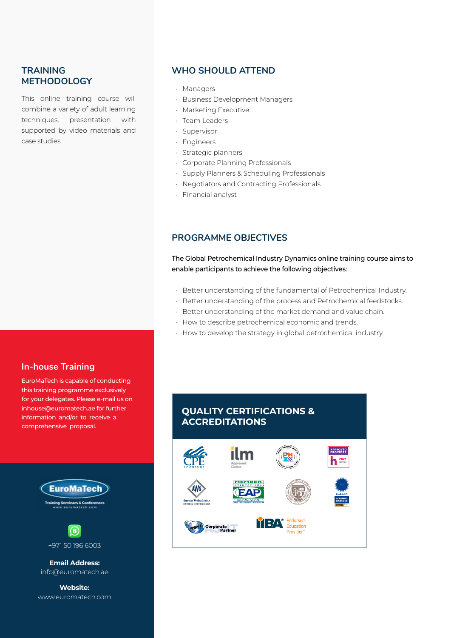### **TRAINING METHODOLOGY**

This online training course will combine a variety of adult learning techniques, presentation with supported by video materials and case studies.

#### **WHO SHOULD ATTEND**

- Managers
- Business Development Managers
- Marketing Executive
- Team Leaders
- Supervisor
- Engineers
- Strategic planners
- Corporate Planning Professionals
- Supply Planners & Scheduling Professionals
- Negotiators and Contracting Professionals
- Financial analyst

#### **PROGRAMME OBJECTIVES**

The Global Petrochemical Industry Dynamics online training course aims to enable participants to achieve the following objectives:

- Better understanding of the fundamental of Petrochemical Industry.
- Better understanding of the process and Petrochemical feedstocks.
- Better understanding of the market demand and value chain.
- How to describe petrochemical economic and trends.
- How to develop the strategy in global petrochemical industry.

#### **In-house Training**

EuroMaTech is capable of conducting this training programme exclusively for your delegates. Please e-mail us on inhouse@euromatech.ae for further information and/or to receive a comprehensive proposal.



 $\left( \mathbf{B}\right)$ +971 50 196 6003

**Email Address:** info@euromatech.ae

**Website:** www.euromatech.com

## **QUALITY CERTIFICATIONS & ACCREDITATIONS**

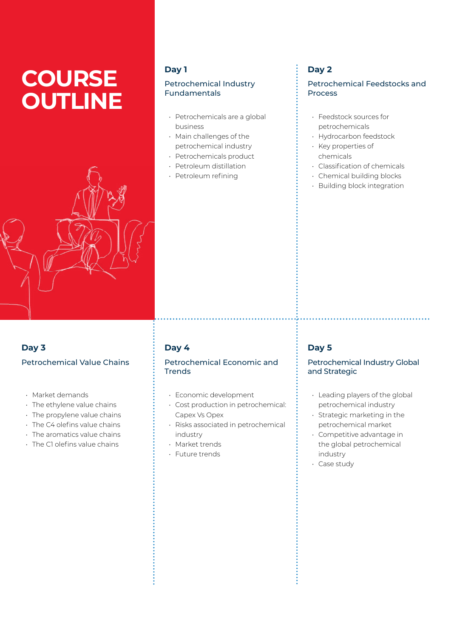# **COURSE OUTLINE**



• Market demands

**Day 3**

• The ethylene value chains • The propylene value chains • The C4 olefins value chains • The aromatics value chains • The C1 olefins value chains

Petrochemical Value Chains

#### **Day 1**

#### Petrochemical Industry Fundamentals

- Petrochemicals are a global business
- Main challenges of the petrochemical industry
- Petrochemicals product
- Petroleum distillation
- Petroleum refining

## **Day 2**

#### Petrochemical Feedstocks and Process

- Feedstock sources for petrochemicals
- Hydrocarbon feedstock
- Key properties of chemicals
- Classification of chemicals
- Chemical building blocks
- Building block integration

## **Day 4**

#### Petrochemical Economic and Trends

- Economic development
- Cost production in petrochemical: Capex Vs Opex
- Risks associated in petrochemical industry
- Market trends
- Future trends

## **Day 5**

#### Petrochemical Industry Global and Strategic

- Leading players of the global petrochemical industry
- Strategic marketing in the petrochemical market
- Competitive advantage in the global petrochemical industry
- Case study